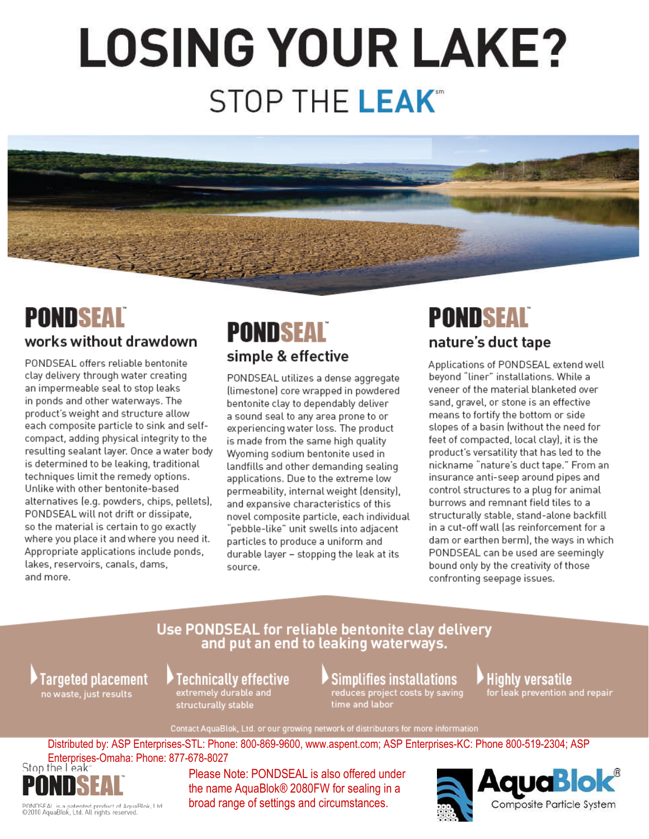# **LOSING YOUR LAKE? STOP THE LEAK**<sup>®</sup>



## **PONDSEAL**

#### works without drawdown

PONDSEAL offers reliable bentonite clay delivery through water creating an impermeable seal to stop leaks in ponds and other waterways. The product's weight and structure allow each composite particle to sink and selfcompact, adding physical integrity to the resulting sealant layer. Once a water body is determined to be leaking, traditional techniques limit the remedy options. Unlike with other bentonite-based alternatives (e.g. powders, chips, pellets), PONDSEAL will not drift or dissipate, so the material is certain to go exactly where you place it and where you need it. Appropriate applications include ponds, lakes, reservoirs, canals, dams, and more.

## **PONDSEAL** simple & effective

PONDSEAL utilizes a dense aggregate (limestone) core wrapped in powdered bentonite clay to dependably deliver a sound seal to any area prone to or experiencing water loss. The product is made from the same high quality Wyoming sodium bentonite used in landfills and other demanding sealing applications. Due to the extreme low permeability, internal weight (density), and expansive characteristics of this novel composite particle, each individual "pebble-like" unit swells into adjacent particles to produce a uniform and durable layer - stopping the leak at its source.

## **PONDSEAL** nature's duct tape

Applications of PONDSEAL extend well beyond "liner" installations. While a veneer of the material blanketed over sand, gravel, or stone is an effective means to fortify the bottom or side slopes of a basin (without the need for feet of compacted, local clay), it is the product's versatility that has led to the nickname "nature's duct tape." From an insurance anti-seep around pipes and control structures to a plug for animal burrows and remnant field tiles to a structurally stable, stand-alone backfill in a cut-off wall (as reinforcement for a dam or earthen berm), the ways in which PONDSEAL can be used are seemingly bound only by the creativity of those confronting seepage issues.

#### Use PONDSEAL for reliable bentonite clay delivery and put an end to leaking waterways.

Targeted placement no waste, just results

Technically effective extremely durable and structurally stable

### **Simplifies installations**

reduces project costs by saving time and labor

#### Highly versatile for leak prevention and repair

Contact AquaBlok, Ltd. or our growing network of distributors for more information

Distributed by: ASP Enterprises-STL: Phone: 800-869-9600, www.aspent.com; ASP Enterprises-KC: Phone 800-519-2304; ASP Enterprises-Omaha: Phone: 877-678-8027<br>Stop the Leak



PONDSEAL is a patented product of AquaBlok, Ltd.<br>©2010 AquaBlok, Ltd. All rights reserved.

Please Note: PONDSEAL is also offered under the name AquaBlok® 2080FW for sealing in a broad range of settings and circumstances.